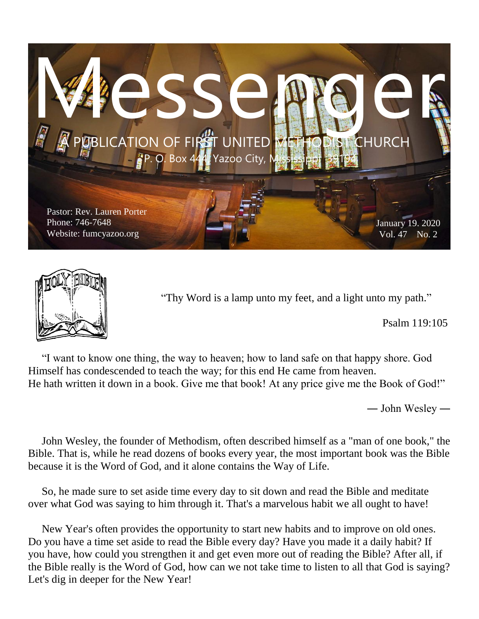



"Thy Word is a lamp unto my feet, and a light unto my path."

Psalm 119:105

 "I want to know one thing, the way to heaven; how to land safe on that happy shore. God Himself has condescended to teach the way; for this end He came from heaven. He hath written it down in a book. Give me that book! At any price give me the Book of God!"

― John Wesley ―

 John Wesley, the founder of Methodism, often described himself as a "man of one book," the Bible. That is, while he read dozens of books every year, the most important book was the Bible because it is the Word of God, and it alone contains the Way of Life.

 So, he made sure to set aside time every day to sit down and read the Bible and meditate over what God was saying to him through it. That's a marvelous habit we all ought to have!

 New Year's often provides the opportunity to start new habits and to improve on old ones. Do you have a time set aside to read the Bible every day? Have you made it a daily habit? If you have, how could you strengthen it and get even more out of reading the Bible? After all, if the Bible really is the Word of God, how can we not take time to listen to all that God is saying? Let's dig in deeper for the New Year!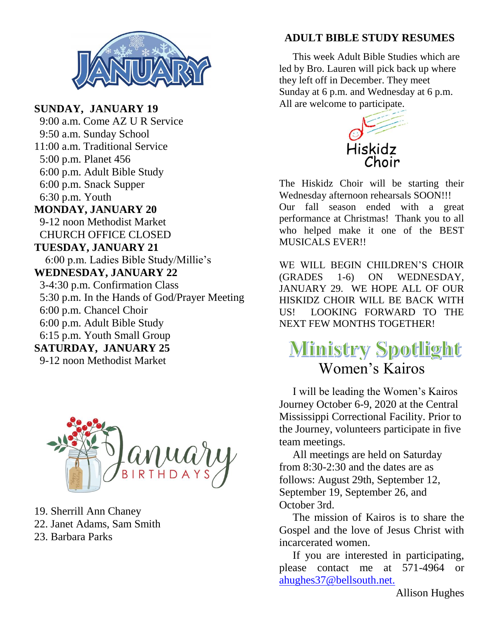

**SUNDAY, JANUARY 19** 9:00 a.m. Come AZ U R Service 9:50 a.m. Sunday School 11:00 a.m. Traditional Service 5:00 p.m. Planet 456 6:00 p.m. Adult Bible Study 6:00 p.m. Snack Supper 6:30 p.m. Youth **MONDAY, JANUARY 20** 9-12 noon Methodist Market CHURCH OFFICE CLOSED **TUESDAY, JANUARY 21** 6:00 p.m. Ladies Bible Study/Millie's **WEDNESDAY, JANUARY 22** 3-4:30 p.m. Confirmation Class 5:30 p.m. In the Hands of God/Prayer Meeting 6:00 p.m. Chancel Choir 6:00 p.m. Adult Bible Study 6:15 p.m. Youth Small Group **SATURDAY, JANUARY 25** 9-12 noon Methodist Market



- 19. Sherrill Ann Chaney
- 22. Janet Adams, Sam Smith
- 23. Barbara Parks

#### **ADULT BIBLE STUDY RESUMES**

 This week Adult Bible Studies which are led by Bro. Lauren will pick back up where they left off in December. They meet Sunday at 6 p.m. and Wednesday at 6 p.m. All are welcome to participate.



The Hiskidz Choir will be starting their Wednesday afternoon rehearsals SOON!!! Our fall season ended with a great performance at Christmas! Thank you to all who helped make it one of the BEST MUSICALS EVER!!

WE WILL BEGIN CHILDREN'S CHOIR (GRADES 1-6) ON WEDNESDAY, JANUARY 29. WE HOPE ALL OF OUR HISKIDZ CHOIR WILL BE BACK WITH US! LOOKING FORWARD TO THE NEXT FEW MONTHS TOGETHER!

# **Ministry Spotlight** Women's Kairos

 I will be leading the Women's Kairos Journey October 6-9, 2020 at the Central Mississippi Correctional Facility. Prior to the Journey, volunteers participate in five team meetings.

 All meetings are held on Saturday from 8:30-2:30 and the dates are as follows: August 29th, September 12, September 19, September 26, and October 3rd.

 The mission of Kairos is to share the Gospel and the love of Jesus Christ with incarcerated women.

 If you are interested in participating, please contact me at 571-4964 or [ahughes37@bellsouth.net.](mailto:ahughes37@bellsouth.net.)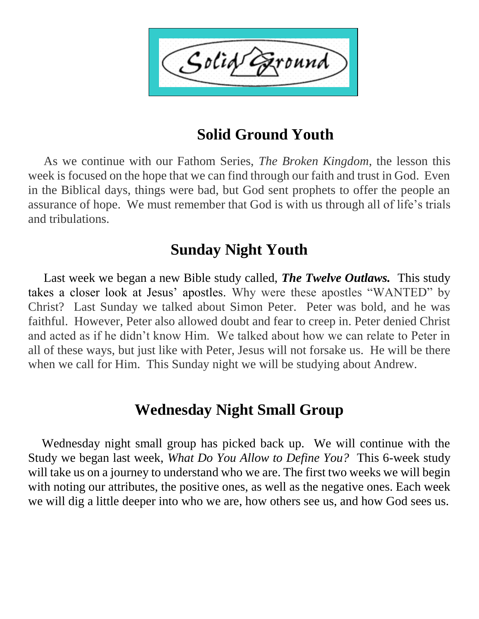Solid ound'

### **Solid Ground Youth**

 As we continue with our Fathom Series, *The Broken Kingdom*, the lesson this week is focused on the hope that we can find through our faith and trust in God. Even in the Biblical days, things were bad, but God sent prophets to offer the people an assurance of hope. We must remember that God is with us through all of life's trials and tribulations.

### **Sunday Night Youth**

 Last week we began a new Bible study called, *The Twelve Outlaws.* This study takes a closer look at Jesus' apostles. Why were these apostles "WANTED" by Christ? Last Sunday we talked about Simon Peter. Peter was bold, and he was faithful. However, Peter also allowed doubt and fear to creep in. Peter denied Christ and acted as if he didn't know Him. We talked about how we can relate to Peter in all of these ways, but just like with Peter, Jesus will not forsake us. He will be there when we call for Him. This Sunday night we will be studying about Andrew.

### **Wednesday Night Small Group**

 Wednesday night small group has picked back up. We will continue with the Study we began last week, *What Do You Allow to Define You?* This 6-week study will take us on a journey to understand who we are. The first two weeks we will begin with noting our attributes, the positive ones, as well as the negative ones. Each week we will dig a little deeper into who we are, how others see us, and how God sees us.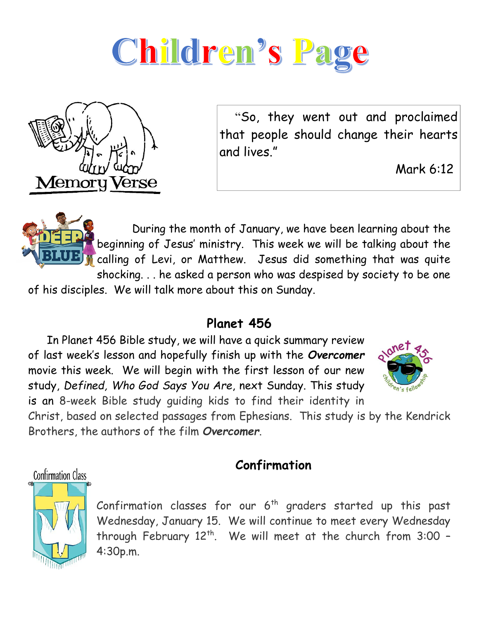



 "So, they went out and proclaimed that people should change their hearts and lives."

Mark 6:12

 During the month of January, we have been learning about the beginning of Jesus' ministry. This week we will be talking about the **F** calling of Levi, or Matthew. Jesus did something that was quite shocking. . . he asked a person who was despised by society to be one of his disciples. We will talk more about this on Sunday.

#### **Planet 456**

 In Planet 456 Bible study, we will have a quick summary review of last week's lesson and hopefully finish up with the *Overcomer* movie this week. We will begin with the first lesson of our new study, *Defined, Who God Says You Are*, next Sunday. This study is an 8-week Bible study guiding kids to find their identity in



Christ, based on selected passages from Ephesians. This study is by the Kendrick Brothers, the authors of the film *Overcomer*.

#### **Confirmation**

Confirmation Class



Confirmation classes for our  $6<sup>th</sup>$  graders started up this past Wednesday, January 15. We will continue to meet every Wednesday through February  $12<sup>th</sup>$ . We will meet at the church from  $3:00$  -4:30p.m.